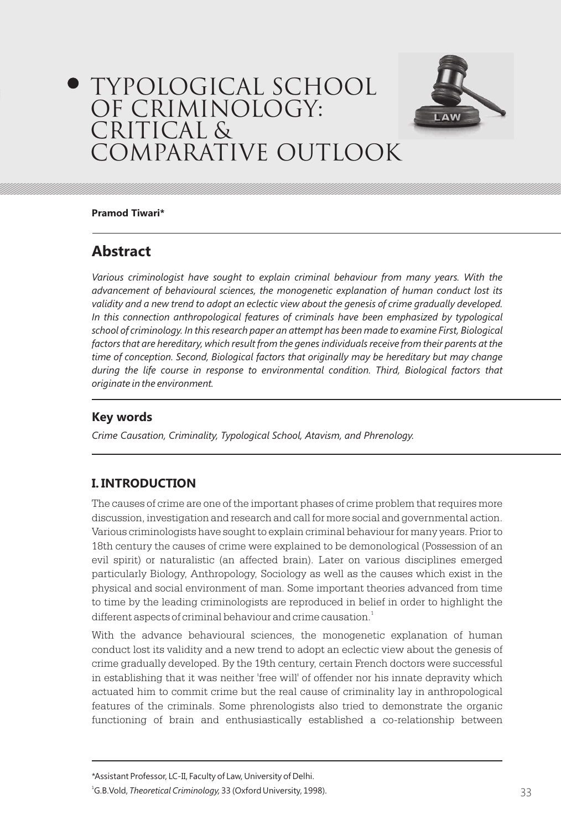# TYPOLOGICAL SCHOOL OF CRIMINOLOGY: CRITICAL & COMPARATIVE OUTLOOK



#### **Pramod Tiwari\***

## **Abstract**

*Various criminologist have sought to explain criminal behaviour from many years. With the advancement of behavioural sciences, the monogenetic explanation of human conduct lost its validity and a new trend to adopt an eclectic view about the genesis of crime gradually developed. In this connection anthropological features of criminals have been emphasized by typological school of criminology. In this research paper an attempt has been made to examine First, Biological factors that are hereditary, which result from the genes individuals receive from their parents at the time of conception. Second, Biological factors that originally may be hereditary but may change during the life course in response to environmental condition. Third, Biological factors that originate in the environment.*

## **Key words**

*Crime Causation, Criminality, Typological School, Atavism, and Phrenology.* 

## **I. INTRODUCTION**

The causes of crime are one of the important phases of crime problem that requires more discussion, investigation and research and call for more social and governmental action. Various criminologists have sought to explain criminal behaviour for many years. Prior to 18th century the causes of crime were explained to be demonological (Possession of an evil spirit) or naturalistic (an affected brain). Later on various disciplines emerged particularly Biology, Anthropology, Sociology as well as the causes which exist in the physical and social environment of man. Some important theories advanced from time to time by the leading criminologists are reproduced in belief in order to highlight the different aspects of criminal behaviour and crime causation. $^{\rm 1}$ 

With the advance behavioural sciences, the monogenetic explanation of human conduct lost its validity and a new trend to adopt an eclectic view about the genesis of crime gradually developed. By the 19th century, certain French doctors were successful in establishing that it was neither 'free will' of offender nor his innate depravity which actuated him to commit crime but the real cause of criminality lay in anthropological features of the criminals. Some phrenologists also tried to demonstrate the organic functioning of brain and enthusiastically established a co-relationship between

<sup>\*</sup>Assistant Professor, LC-II, Faculty of Law, University of Delhi.

<sup>1</sup>G.B.Vold, *Theoretical Criminology,* 33 (Oxford University, 1998).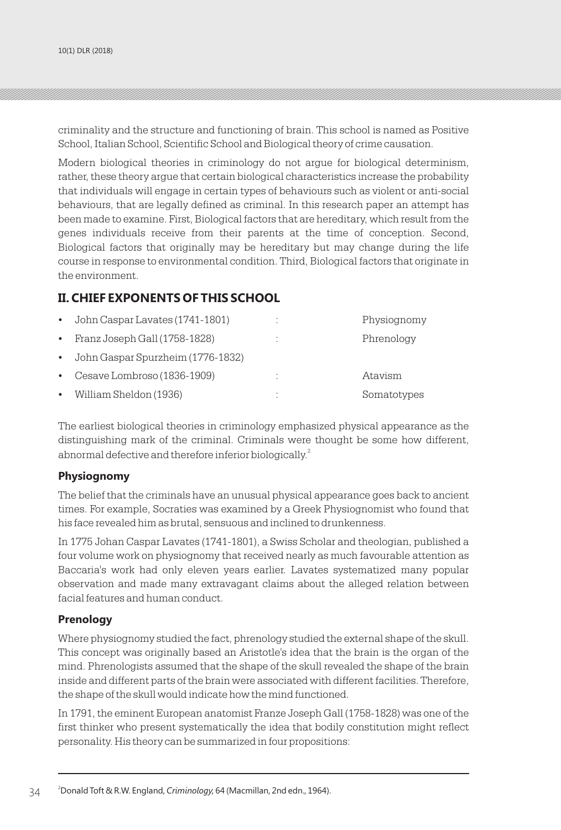criminality and the structure and functioning of brain. This school is named as Positive School, Italian School, Scientific School and Biological theory of crime causation.

Modern biological theories in criminology do not argue for biological determinism, rather, these theory argue that certain biological characteristics increase the probability that individuals will engage in certain types of behaviours such as violent or anti-social behaviours, that are legally defined as criminal. In this research paper an attempt has been made to examine. First, Biological factors that are hereditary, which result from the genes individuals receive from their parents at the time of conception. Second, Biological factors that originally may be hereditary but may change during the life course in response to environmental condition. Third, Biological factors that originate in the environment.

## **II. CHIEF EXPONENTS OF THIS SCHOOL**

| $\bullet$ | John Caspar Lavates (1741-1801)   | Physiognomy |
|-----------|-----------------------------------|-------------|
| $\bullet$ | Franz Joseph Gall (1758-1828)     | Phrenology  |
|           | John Gaspar Spurzheim (1776-1832) |             |
| $\bullet$ | Cesave Lombroso (1836-1909)       | Atavism     |
| ٠         | William Sheldon (1936)            | Somatotypes |
|           |                                   |             |

The earliest biological theories in criminology emphasized physical appearance as the distinguishing mark of the criminal. Criminals were thought be some how different, abnormal defective and therefore inferior biologically. $^{\text{2}}$ 

#### **Physiognomy**

The belief that the criminals have an unusual physical appearance goes back to ancient times. For example, Socraties was examined by a Greek Physiognomist who found that his face revealed him as brutal, sensuous and inclined to drunkenness.

In 1775 Johan Caspar Lavates (1741-1801), a Swiss Scholar and theologian, published a four volume work on physiognomy that received nearly as much favourable attention as Baccaria's work had only eleven years earlier. Lavates systematized many popular observation and made many extravagant claims about the alleged relation between facial features and human conduct.

#### **Prenology**

Where physiognomy studied the fact, phrenology studied the external shape of the skull. This concept was originally based an Aristotle's idea that the brain is the organ of the mind. Phrenologists assumed that the shape of the skull revealed the shape of the brain inside and different parts of the brain were associated with different facilities. Therefore, the shape of the skull would indicate how the mind functioned.

In 1791, the eminent European anatomist Franze Joseph Gall (1758-1828) was one of the first thinker who present systematically the idea that bodily constitution might reflect personality. His theory can be summarized in four propositions: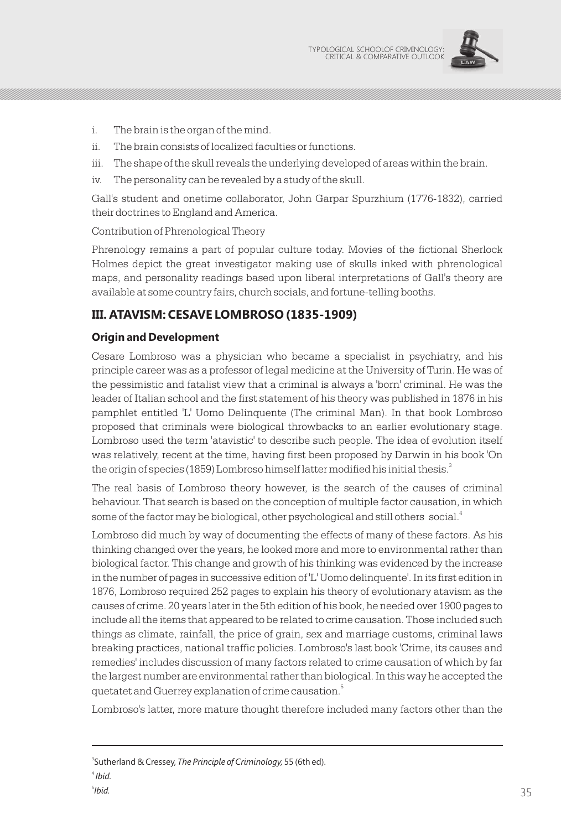

- i. The brain is the organ of the mind.
- ii. The brain consists of localized faculties or functions.
- iii. The shape of the skull reveals the underlying developed of areas within the brain.
- iv. The personality can be revealed by a study of the skull.

Gall's student and onetime collaborator, John Garpar Spurzhium (1776-1832), carried their doctrines to England and America.

Contribution of Phrenological Theory

Phrenology remains a part of popular culture today. Movies of the fictional Sherlock Holmes depict the great investigator making use of skulls inked with phrenological maps, and personality readings based upon liberal interpretations of Gall's theory are available at some country fairs, church socials, and fortune-telling booths.

## **III. ATAVISM: CESAVE LOMBROSO (1835-1909)**

### **Origin and Development**

Cesare Lombroso was a physician who became a specialist in psychiatry, and his principle career was as a professor of legal medicine at the University of Turin. He was of the pessimistic and fatalist view that a criminal is always a 'born' criminal. He was the leader of Italian school and the first statement of his theory was published in 1876 in his pamphlet entitled 'L' Uomo Delinquente (The criminal Man). In that book Lombroso proposed that criminals were biological throwbacks to an earlier evolutionary stage. Lombroso used the term 'atavistic' to describe such people. The idea of evolution itself was relatively, recent at the time, having first been proposed by Darwin in his book 'On the origin of species (1859) Lombroso himself latter modified his initial thesis.<sup>3</sup>

The real basis of Lombroso theory however, is the search of the causes of criminal behaviour. That search is based on the conception of multiple factor causation, in which some of the factor may be biological, other psychological and still others  $\,$  social. $^4$ 

Lombroso did much by way of documenting the effects of many of these factors. As his thinking changed over the years, he looked more and more to environmental rather than biological factor. This change and growth of his thinking was evidenced by the increase in the number of pages in successive edition of 'L' Uomo delinquente'. In its first edition in 1876, Lombroso required 252 pages to explain his theory of evolutionary atavism as the causes of crime. 20 years later in the 5th edition of his book, he needed over 1900 pages to include all the items that appeared to be related to crime causation. Those included such things as climate, rainfall, the price of grain, sex and marriage customs, criminal laws breaking practices, national traffic policies. Lombroso's last book 'Crime, its causes and remedies' includes discussion of many factors related to crime causation of which by far the largest number are environmental rather than biological. In this way he accepted the quetatet and Guerrey explanation of crime causation. $^{\mathrm{5}}$ 

Lombroso's latter, more mature thought therefore included many factors other than the

3 Sutherland & Cressey, *The Principle of Criminology,* 55 (6th ed).

<sup>4</sup> *Ibid.*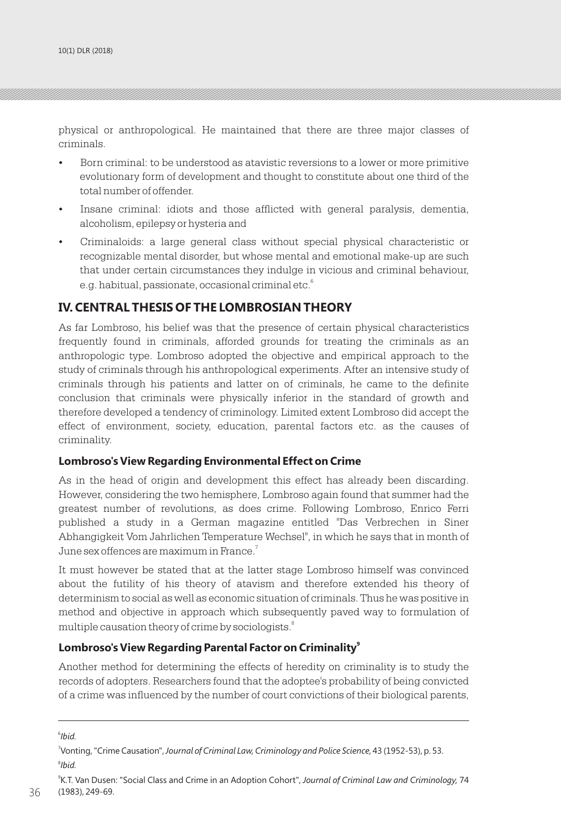physical or anthropological. He maintained that there are three major classes of criminals.

- Born criminal: to be understood as atavistic reversions to a lower or more primitive evolutionary form of development and thought to constitute about one third of the total number of offender.
- Insane criminal: idiots and those afflicted with general paralysis, dementia, alcoholism, epilepsy or hysteria and
- Criminaloids: a large general class without special physical characteristic or recognizable mental disorder, but whose mental and emotional make-up are such that under certain circumstances they indulge in vicious and criminal behaviour, 6 e.g. habitual, passionate, occasional criminal etc.

#### **IV. CENTRAL THESIS OF THE LOMBROSIAN THEORY**

As far Lombroso, his belief was that the presence of certain physical characteristics frequently found in criminals, afforded grounds for treating the criminals as an anthropologic type. Lombroso adopted the objective and empirical approach to the study of criminals through his anthropological experiments. After an intensive study of criminals through his patients and latter on of criminals, he came to the definite conclusion that criminals were physically inferior in the standard of growth and therefore developed a tendency of criminology. Limited extent Lombroso did accept the effect of environment, society, education, parental factors etc. as the causes of criminality.

#### **Lombroso's View Regarding Environmental Effect on Crime**

As in the head of origin and development this effect has already been discarding. However, considering the two hemisphere, Lombroso again found that summer had the greatest number of revolutions, as does crime. Following Lombroso, Enrico Ferri published a study in a German magazine entitled "Das Verbrechen in Siner Abhangigkeit Vom Jahrlichen Temperature Wechsel", in which he says that in month of June sex offences are maximum in France. $^7$ 

It must however be stated that at the latter stage Lombroso himself was convinced about the futility of his theory of atavism and therefore extended his theory of determinism to social as well as economic situation of criminals. Thus he was positive in method and objective in approach which subsequently paved way to formulation of multiple causation theory of crime by sociologists.<sup>8</sup>

#### **9 Lombroso's View Regarding Parental Factor on Criminality**

Another method for determining the effects of heredity on criminality is to study the records of adopters. Researchers found that the adoptee's probability of being convicted of a crime was influenced by the number of court convictions of their biological parents,

<sup>6</sup> *Ibid.*

<sup>7</sup> Vonting, "Crime Causation", *Journal of Criminal Law, Criminology and Police Science,* 43 (1952-53), p. 53. 8 *Ibid.*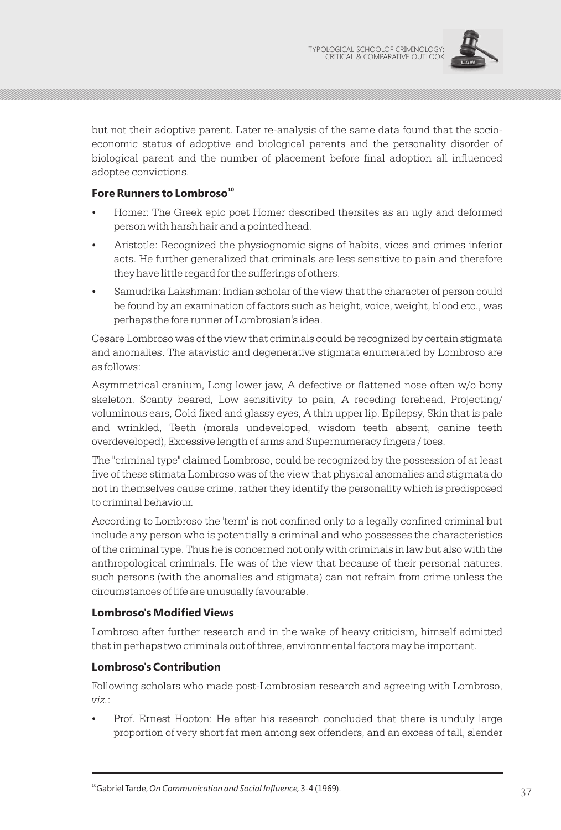

but not their adoptive parent. Later re-analysis of the same data found that the socioeconomic status of adoptive and biological parents and the personality disorder of biological parent and the number of placement before final adoption all influenced adoptee convictions.

#### **<sup>10</sup> Fore Runners to Lombroso**

- Homer: The Greek epic poet Homer described thersites as an ugly and deformed person with harsh hair and a pointed head.
- Aristotle: Recognized the physiognomic signs of habits, vices and crimes inferior acts. He further generalized that criminals are less sensitive to pain and therefore they have little regard for the sufferings of others.
- Samudrika Lakshman: Indian scholar of the view that the character of person could be found by an examination of factors such as height, voice, weight, blood etc., was perhaps the fore runner of Lombrosian's idea.

Cesare Lombroso was of the view that criminals could be recognized by certain stigmata and anomalies. The atavistic and degenerative stigmata enumerated by Lombroso are as follows:

Asymmetrical cranium, Long lower jaw, A defective or flattened nose often w/o bony skeleton, Scanty beared, Low sensitivity to pain, A receding forehead, Projecting/ voluminous ears, Cold fixed and glassy eyes, A thin upper lip, Epilepsy, Skin that is pale and wrinkled, Teeth (morals undeveloped, wisdom teeth absent, canine teeth overdeveloped), Excessive length of arms and Supernumeracy fingers / toes.

The "criminal type" claimed Lombroso, could be recognized by the possession of at least five of these stimata Lombroso was of the view that physical anomalies and stigmata do not in themselves cause crime, rather they identify the personality which is predisposed to criminal behaviour.

According to Lombroso the 'term' is not confined only to a legally confined criminal but include any person who is potentially a criminal and who possesses the characteristics of the criminal type. Thus he is concerned not only with criminals in law but also with the anthropological criminals. He was of the view that because of their personal natures, such persons (with the anomalies and stigmata) can not refrain from crime unless the circumstances of life are unusually favourable.

#### **Lombroso's Modified Views**

Lombroso after further research and in the wake of heavy criticism, himself admitted that in perhaps two criminals out of three, environmental factors may be important.

#### **Lombroso's Contribution**

Following scholars who made post-Lombrosian research and agreeing with Lombroso, *viz.*:

Prof. Ernest Hooton: He after his research concluded that there is unduly large proportion of very short fat men among sex offenders, and an excess of tall, slender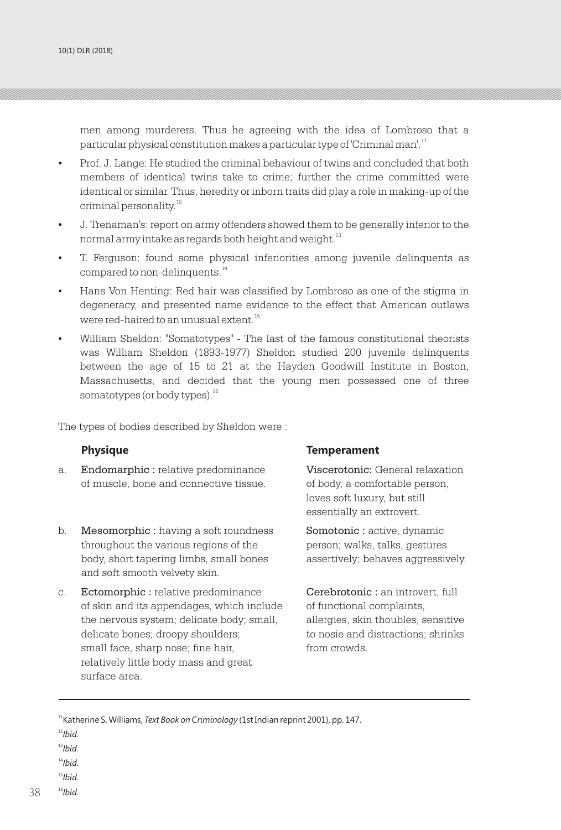men among murderers. Thus he agreeing with the idea of Lombroso that a particular physical constitution makes a particular type of 'Criminal man'.<sup>11</sup>

- Prof. J. Lange: He studied the criminal behaviour of twins and concluded that both members of identical twins take to crime; further the crime committed were identical or similar. Thus, heredity or inborn traits did play a role in making-up of the criminal personality.<sup>12</sup>
- J. Trenaman's: report on army offenders showed them to be generally inferior to the normal army intake as regards both height and weight.  $^{\rm 13}$
- T. Ferguson: found some physical inferiorities among juvenile delinquents as compared to non-delinquents.<sup>14</sup>
- Hans Von Henting: Red hair was classified by Lombroso as one of the stigma in degeneracy, and presented name evidence to the effect that American outlaws were red-haired to an unusual extent.<sup>15</sup>
- William Sheldon: "Somatotypes" The last of the famous constitutional theorists was William Sheldon (1893-1977) Sheldon studied 200 juvenile delinquents between the age of 15 to 21 at the Hayden Goodwill Institute in Boston, Massachusetts, and decided that the young men possessed one of three somatotypes (or body types).<sup>16</sup>

The types of bodies described by Sheldon were :

- a. Endomarphic : relative predominance Viscerotonic: General relaxation of muscle, bone and connective tissue.  $\qquad \qquad$  of body, a comfortable person,
- b. **Mesomorphic**: having a soft roundness **Somotonic**: active, dynamic throughout the various regions of the person; walks, talks, gestures body, short tapering limbs, small bones assertively; behaves aggressively. and soft smooth velvety skin.
- c. Ectomorphic : relative predominance Cerebrotonic : an introvert, full of skin and its appendages, which include of functional complaints, the nervous system; delicate body; small, allergies, skin thoubles, sensitive delicate bones; droopy shoulders; to nosie and distractions; shrinks small face, sharp nose; fine hair, from crowds. relatively little body mass and great surface area.

#### **Physique Temperament**

loves soft luxury, but still essentially an extrovert.

<sup>11</sup>Katherine S. Williams, *Text Book on Criminology* (1st Indian reprint 2001), pp. 147.

- $12$ *Ibid.*
- <sup>13</sup>*Ibid.*
- <sup>14</sup>*Ibid.*
- $15$ *Ibid.*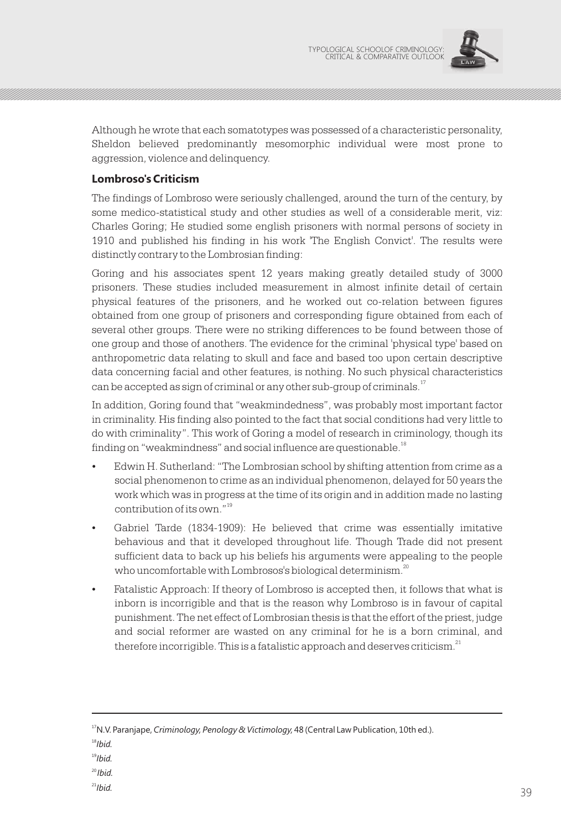

Although he wrote that each somatotypes was possessed of a characteristic personality, Sheldon believed predominantly mesomorphic individual were most prone to aggression, violence and delinquency.

#### **Lombroso's Criticism**

The findings of Lombroso were seriously challenged, around the turn of the century, by some medico-statistical study and other studies as well of a considerable merit, viz: Charles Goring; He studied some english prisoners with normal persons of society in 1910 and published his finding in his work 'The English Convict'. The results were distinctly contrary to the Lombrosian finding:

Goring and his associates spent 12 years making greatly detailed study of 3000 prisoners. These studies included measurement in almost infinite detail of certain physical features of the prisoners, and he worked out co-relation between figures obtained from one group of prisoners and corresponding figure obtained from each of several other groups. There were no striking differences to be found between those of one group and those of anothers. The evidence for the criminal 'physical type' based on anthropometric data relating to skull and face and based too upon certain descriptive data concerning facial and other features, is nothing. No such physical characteristics can be accepted as sign of criminal or any other sub-group of criminals.  $^{\rm 17}$ 

In addition, Goring found that "weakmindedness", was probably most important factor in criminality. His finding also pointed to the fact that social conditions had very little to do with criminality". This work of Goring a model of research in criminology, though its finding on "weakmindness" and social influence are questionable. $^{18}$ 

- Edwin H. Sutherland: "The Lombrosian school by shifting attention from crime as a social phenomenon to crime as an individual phenomenon, delayed for 50 years the work which was in progress at the time of its origin and in addition made no lasting contribution of its own."<sup>19</sup>
- Gabriel Tarde (1834-1909): He believed that crime was essentially imitative behavious and that it developed throughout life. Though Trade did not present sufficient data to back up his beliefs his arguments were appealing to the people who uncomfortable with Lombrosos's biological determinism.<sup>20</sup>
- Fatalistic Approach: If theory of Lombroso is accepted then, it follows that what is inborn is incorrigible and that is the reason why Lombroso is in favour of capital punishment. The net effect of Lombrosian thesis is that the effort of the priest, judge and social reformer are wasted on any criminal for he is a born criminal, and therefore incorrigible. This is a fatalistic approach and deserves criticism.<sup>21</sup>

<sup>17</sup>N.V. Paranjape, *Criminology, Penology & Victimology, 48* (Central Law Publication, 10th ed.).

- <sup>18</sup>*Ibid.*
- <sup>19</sup>*Ibid.*

<sup>20</sup>*Ibid.*

 $^{21}$ *Ibid*